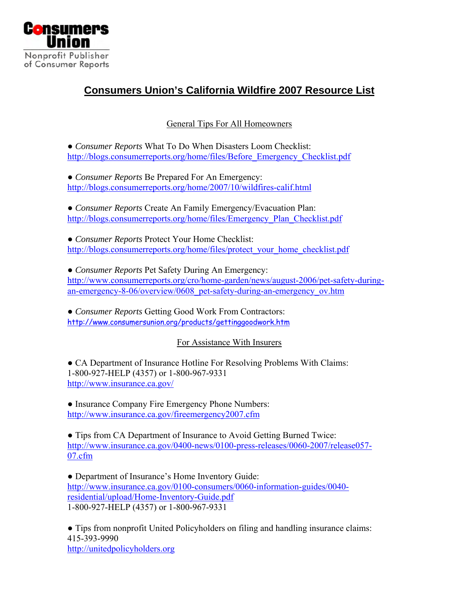

## **Consumers Union's California Wildfire 2007 Resource List**

General Tips For All Homeowners

● *Consumer Reports* What To Do When Disasters Loom Checklist: [http://blogs.consumerreports.org/home/files/Before\\_Emergency\\_Checklist.pdf](http://blogs.consumerreports.org/home/files/Before_Emergency_Checklist.pdf)

● *Consumer Reports* Be Prepared For An Emergency: <http://blogs.consumerreports.org/home/2007/10/wildfires-calif.html>

● *Consumer Reports* Create An Family Emergency/Evacuation Plan: [http://blogs.consumerreports.org/home/files/Emergency\\_Plan\\_Checklist.pdf](http://blogs.consumerreports.org/home/files/Emergency_Plan_Checklist.pdf)

● *Consumer Reports* Protect Your Home Checklist: [http://blogs.consumerreports.org/home/files/protect\\_your\\_home\\_checklist.pdf](http://blogs.consumerreports.org/home/files/protect_your_home_checklist.pdf)

● *Consumer Reports* Pet Safety During An Emergency: [http://www.consumerreports.org/cro/home-garden/news/august-2006/pet-safety-during](http://www.consumerreports.org/cro/home-garden/news/august-2006/pet-safety-during-an-emergency-8-06/overview/0608_pet-safety-during-an-emergency_ov.htm)[an-emergency-8-06/overview/0608\\_pet-safety-during-an-emergency\\_ov.htm](http://www.consumerreports.org/cro/home-garden/news/august-2006/pet-safety-during-an-emergency-8-06/overview/0608_pet-safety-during-an-emergency_ov.htm)

● *Consumer Reports* Getting Good Work From Contractors: <http://www.consumersunion.org/products/gettinggoodwork.htm>

#### For Assistance With Insurers

• CA Department of Insurance Hotline For Resolving Problems With Claims: 1-800-927-HELP (4357) or 1-800-967-9331 <http://www.insurance.ca.gov/>

• Insurance Company Fire Emergency Phone Numbers: <http://www.insurance.ca.gov/fireemergency2007.cfm>

• Tips from CA Department of Insurance to Avoid Getting Burned Twice: [http://www.insurance.ca.gov/0400-news/0100-press-releases/0060-2007/release057-](http://www.insurance.ca.gov/0400-news/0100-press-releases/0060-2007/release057-07.cfm) [07.cfm](http://www.insurance.ca.gov/0400-news/0100-press-releases/0060-2007/release057-07.cfm)

• Department of Insurance's Home Inventory Guide: [http://www.insurance.ca.gov/0100-consumers/0060-information-guides/0040](http://www.insurance.ca.gov/0100-consumers/0060-information-guides/0040-residential/upload/Home-Inventory-Guide.pdf) [residential/upload/Home-Inventory-Guide.pdf](http://www.insurance.ca.gov/0100-consumers/0060-information-guides/0040-residential/upload/Home-Inventory-Guide.pdf) 1-800-927-HELP (4357) or 1-800-967-9331

● Tips from nonprofit United Policyholders on filing and handling insurance claims: 415-393-9990 [http://unitedpolicyholders.org](http://unitedpolicyholders.org/)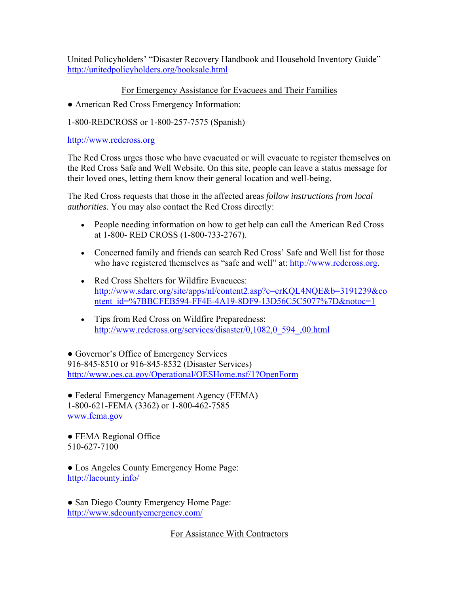United Policyholders' "Disaster Recovery Handbook and Household Inventory Guide" <http://unitedpolicyholders.org/booksale.html>

#### For Emergency Assistance for Evacuees and Their Families

● American Red Cross Emergency Information:

1-800-REDCROSS or 1-800-257-7575 (Spanish)

[http://www.redcross.org](http://www.redcross.org/)

The Red Cross urges those who have evacuated or will evacuate to register themselves on the Red Cross Safe and Well Website. On this site, people can leave a status message for their loved ones, letting them know their general location and well-being.

The Red Cross requests that those in the affected areas *follow instructions from local authorities.* You may also contact the Red Cross directly:

- People needing information on how to get help can call the American Red Cross at 1-800- RED CROSS (1-800-733-2767).
- Concerned family and friends can search Red Cross' Safe and Well list for those who have registered themselves as "safe and well" at: [http://www.redcross.org.](http://www.redcross.org/)
- Red Cross Shelters for Wildfire Evacuees: [http://www.sdarc.org/site/apps/nl/content2.asp?c=erKQL4NQE&b=3191239&co](http://www.sdarc.org/site/apps/nl/content2.asp?c=erKQL4NQE&b=3191239&content_id=%7BBCFEB594-FF4E-4A19-8DF9-13D56C5C5077%7D¬oc=1) [ntent\\_id=%7BBCFEB594-FF4E-4A19-8DF9-13D56C5C5077%7D&notoc=1](http://www.sdarc.org/site/apps/nl/content2.asp?c=erKQL4NQE&b=3191239&content_id=%7BBCFEB594-FF4E-4A19-8DF9-13D56C5C5077%7D¬oc=1)
- Tips from Red Cross on Wildfire Preparedness: [http://www.redcross.org/services/disaster/0,1082,0\\_594\\_,00.html](http://www.redcross.org/services/disaster/0,1082,0_594_,00.html)

• Governor's Office of Emergency Services 916-845-8510 or 916-845-8532 (Disaster Services) <http://www.oes.ca.gov/Operational/OESHome.nsf/1?OpenForm>

• Federal Emergency Management Agency (FEMA) 1-800-621-FEMA (3362) or 1-800-462-7585 [www.fema.gov](http://www.fema.gov/)

• FEMA Regional Office 510-627-7100

● Los Angeles County Emergency Home Page: <http://lacounty.info/>

• San Diego County Emergency Home Page: <http://www.sdcountyemergency.com/>

For Assistance With Contractors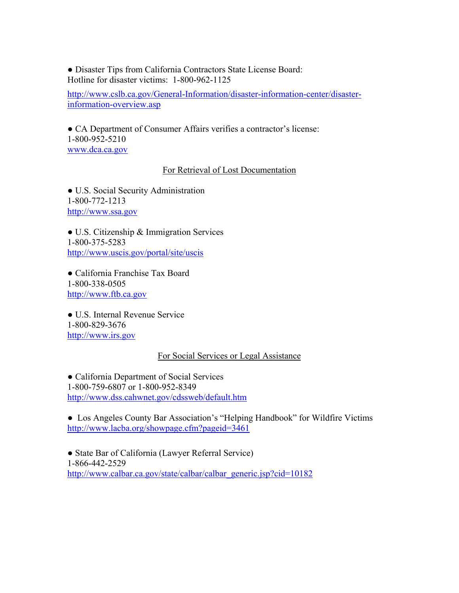● Disaster Tips from California Contractors State License Board: Hotline for disaster victims: 1-800-962-1125

[http://www.cslb.ca.gov/General-Information/disaster-information-center/disaster](http://www.cslb.ca.gov/General-Information/disaster-information-center/disaster-information-overview.asp)[information-overview.asp](http://www.cslb.ca.gov/General-Information/disaster-information-center/disaster-information-overview.asp)

● CA Department of Consumer Affairs verifies a contractor's license: 1-800-952-5210 [www.dca.ca.gov](http://www.dca.ca.gov/)

#### For Retrieval of Lost Documentation

● U.S. Social Security Administration 1-800-772-1213 [http://www.ssa.gov](http://www.ssa.gov/)

● U.S. Citizenship & Immigration Services 1-800-375-5283 <http://www.uscis.gov/portal/site/uscis>

● California Franchise Tax Board 1-800-338-0505 [http://www.ftb.ca.gov](http://www.ftb.ca.gov/)

● U.S. Internal Revenue Service 1-800-829-3676 [http://www.irs.gov](http://www.irs.gov/)

#### For Social Services or Legal Assistance

• California Department of Social Services 1-800-759-6807 or 1-800-952-8349 <http://www.dss.cahwnet.gov/cdssweb/default.htm>

● Los Angeles County Bar Association's "Helping Handbook" for Wildfire Victims <http://www.lacba.org/showpage.cfm?pageid=3461>

● State Bar of California (Lawyer Referral Service) 1-866-442-2529 [http://www.calbar.ca.gov/state/calbar/calbar\\_generic.jsp?cid=10182](http://www.calbar.ca.gov/state/calbar/calbar_generic.jsp?cid=10182)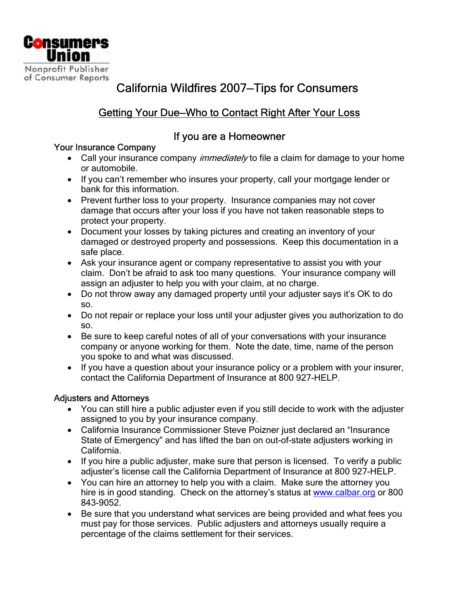

# California Wildfires 2007—Tips for Consumers

## Getting Your Due—Who to Contact Right After Your Loss

### If you are a Homeowner

### Your Insurance Company

- Call your insurance company *immediately* to file a claim for damage to your home or automobile.
- If you can't remember who insures your property, call your mortgage lender or bank for this information.
- Prevent further loss to your property. Insurance companies may not cover damage that occurs after your loss if you have not taken reasonable steps to protect your property.
- Document your losses by taking pictures and creating an inventory of your damaged or destroyed property and possessions. Keep this documentation in a safe place.
- Ask your insurance agent or company representative to assist you with your claim. Don't be afraid to ask too many questions. Your insurance company will assign an adjuster to help you with your claim, at no charge.
- Do not throw away any damaged property until your adjuster says it's OK to do so.
- Do not repair or replace your loss until your adjuster gives you authorization to do so.
- Be sure to keep careful notes of all of your conversations with your insurance company or anyone working for them. Note the date, time, name of the person you spoke to and what was discussed.
- If you have a question about your insurance policy or a problem with your insurer, contact the California Department of Insurance at 800 927-HELP.

### Adjusters and Attorneys

- You can still hire a public adjuster even if you still decide to work with the adjuster assigned to you by your insurance company.
- California Insurance Commissioner Steve Poizner just declared an "Insurance State of Emergency" and has lifted the ban on out-of-state adjusters working in California.
- If you hire a public adjuster, make sure that person is licensed. To verify a public adjuster's license call the California Department of Insurance at 800 927-HELP.
- You can hire an attorney to help you with a claim. Make sure the attorney you hire is in good standing. Check on the attorney's status at [www.calbar.org](http://www.calbar.org/) or 800 843-9052.
- Be sure that you understand what services are being provided and what fees you must pay for those services. Public adjusters and attorneys usually require a percentage of the claims settlement for their services.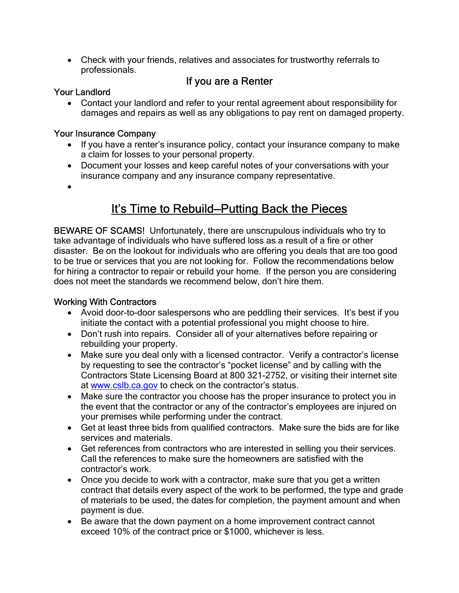• Check with your friends, relatives and associates for trustworthy referrals to professionals.

## If you are a Renter

#### Your Landlord

• Contact your landlord and refer to your rental agreement about responsibility for damages and repairs as well as any obligations to pay rent on damaged property.

#### Your Insurance Company

- If you have a renter's insurance policy, contact your insurance company to make a claim for losses to your personal property.
- Document your losses and keep careful notes of your conversations with your insurance company and any insurance company representative.
- •

# It's Time to Rebuild—Putting Back the Pieces

BEWARE OF SCAMS! Unfortunately, there are unscrupulous individuals who try to take advantage of individuals who have suffered loss as a result of a fire or other disaster. Be on the lookout for individuals who are offering you deals that are too good to be true or services that you are not looking for. Follow the recommendations below for hiring a contractor to repair or rebuild your home. If the person you are considering does not meet the standards we recommend below, don't hire them.

#### Working With Contractors

- Avoid door-to-door salespersons who are peddling their services. It's best if you initiate the contact with a potential professional you might choose to hire.
- Don't rush into repairs. Consider all of your alternatives before repairing or rebuilding your property.
- Make sure you deal only with a licensed contractor. Verify a contractor's license by requesting to see the contractor's "pocket license" and by calling with the Contractors State Licensing Board at 800 321-2752, or visiting their internet site at [www.cslb.ca.gov](http://www.cslb.ca.gov/) to check on the contractor's status.
- Make sure the contractor you choose has the proper insurance to protect you in the event that the contractor or any of the contractor's employees are injured on your premises while performing under the contract.
- Get at least three bids from qualified contractors. Make sure the bids are for like services and materials.
- Get references from contractors who are interested in selling you their services. Call the references to make sure the homeowners are satisfied with the contractor's work.
- Once you decide to work with a contractor, make sure that you get a written contract that details every aspect of the work to be performed, the type and grade of materials to be used, the dates for completion, the payment amount and when payment is due.
- Be aware that the down payment on a home improvement contract cannot exceed 10% of the contract price or \$1000, whichever is less.